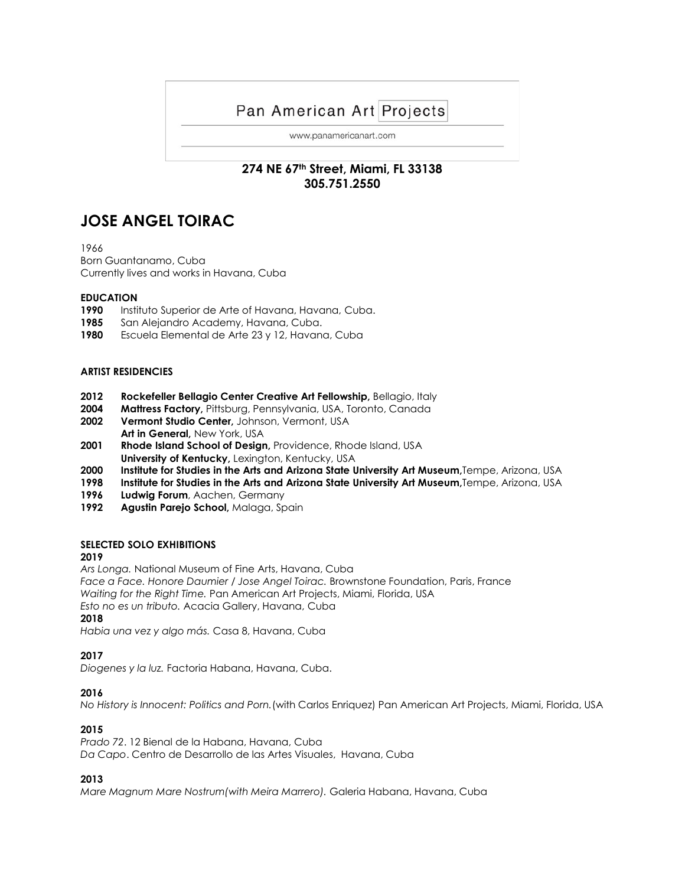# Pan American Art Projects

www.panamericanart.com

# **274 NE 67th Street, Miami, FL 33138 305.751.2550**

# **JOSE ANGEL TOIRAC**

1966

Born Guantanamo, Cuba Currently lives and works in Havana, Cuba

#### **EDUCATION**

- **1990** Instituto Superior de Arte of Havana, Havana, Cuba.
- **1985** San Alejandro Academy, Havana, Cuba.
- **1980** Escuela Elemental de Arte 23 y 12, Havana, Cuba

#### **ARTIST RESIDENCIES**

- **2012 Rockefeller Bellagio Center Creative Art Fellowship,** Bellagio, Italy
- **2004 Mattress Factory,** Pittsburg, Pennsylvania, USA, Toronto, Canada
- **2002 Vermont Studio Center,** Johnson, Vermont, USA **Art in General,** New York, USA
- **2001 Rhode Island School of Design,** Providence, Rhode Island, USA **University of Kentucky, Lexington, Kentucky, USA**
- **2000 Institute for Studies in the Arts and Arizona State University Art Museum,**Tempe, Arizona, USA
- **1998 Institute for Studies in the Arts and Arizona State University Art Museum,**Tempe, Arizona, USA
- **1996 Ludwig Forum**, Aachen, Germany
- **1992 Agustin Parejo School,** Malaga, Spain

# **SELECTED SOLO EXHIBITIONS**

# **2019**

*Ars Longa.* National Museum of Fine Arts, Havana, Cuba

*Face a Face. Honore Daumier / Jose Angel Toirac.* Brownstone Foundation, Paris, France *Waiting for the Right Time.* Pan American Art Projects, Miami, Florida, USA

*Esto no es un tributo.* Acacia Gallery, Havana, Cuba

#### **2018**

*Habia una vez y algo más.* Casa 8, Havana, Cuba

# **2017**

*Diogenes y la luz.* Factoria Habana, Havana, Cuba.

# **2016**

*No History is Innocent: Politics and Porn.*(with Carlos Enriquez) Pan American Art Projects, Miami, Florida, USA

# **2015**

*Prado 72*. 12 Bienal de la Habana, Havana, Cuba *Da Capo*. Centro de Desarrollo de las Artes Visuales, Havana, Cuba

# **2013**

*Mare Magnum Mare Nostrum(with Meira Marrero).* Galeria Habana, Havana, Cuba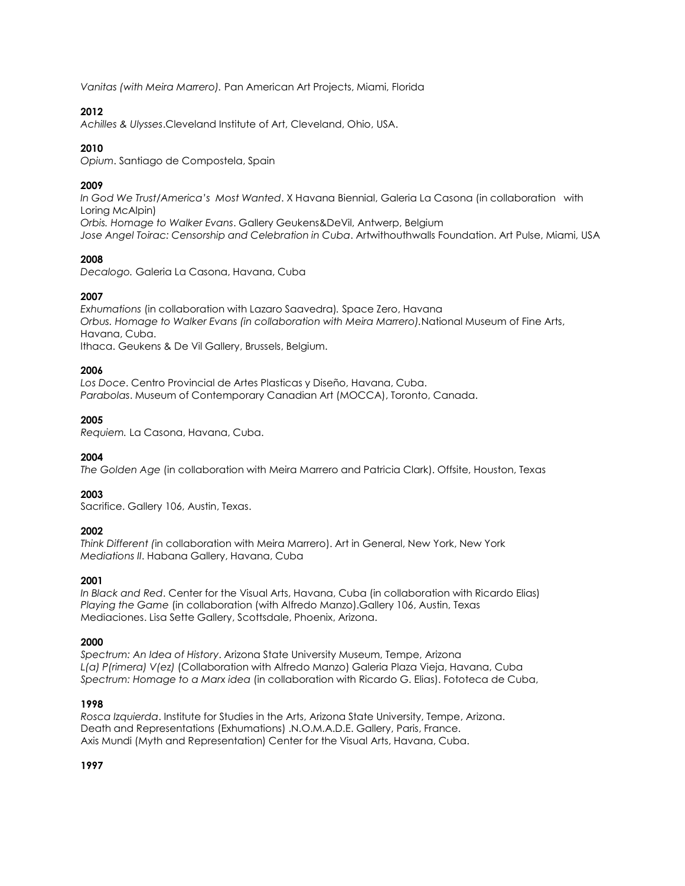*Vanitas (with Meira Marrero).* Pan American Art Projects, Miami, Florida

# **2012**

*Achilles & Ulysses*.Cleveland Institute of Art, Cleveland, Ohio, USA.

# **2010**

*Opium*. Santiago de Compostela, Spain

# **2009**

*In God We Trust/America's Most Wanted*. X Havana Biennial, Galeria La Casona (in collaboration with Loring McAlpin) *Orbis. Homage to Walker Evans*. Gallery Geukens&DeVil, Antwerp, Belgium *Jose Angel Toirac: Censorship and Celebration in Cuba*. Artwithouthwalls Foundation. Art Pulse, Miami, USA

# **2008**

*Decalogo.* Galeria La Casona, Havana, Cuba

# **2007**

*Exhumations* (in collaboration with Lazaro Saavedra)*.* Space Zero, Havana *Orbus. Homage to Walker Evans (in collaboration with Meira Marrero).*National Museum of Fine Arts, Havana, Cuba.

Ithaca. Geukens & De Vil Gallery, Brussels, Belgium.

# **2006**

*Los Doce*. Centro Provincial de Artes Plasticas y Diseño, Havana, Cuba. *Parabolas*. Museum of Contemporary Canadian Art (MOCCA), Toronto, Canada.

# **2005**

*Requiem.* La Casona, Havana, Cuba.

# **2004**

*The Golden Age* (in collaboration with Meira Marrero and Patricia Clark). Offsite, Houston, Texas

# **2003**

Sacrifice. Gallery 106, Austin, Texas.

# **2002**

*Think Different (*in collaboration with Meira Marrero). Art in General, New York, New York *Mediations II*. Habana Gallery, Havana, Cuba

# **2001**

*In Black and Red*. Center for the Visual Arts, Havana, Cuba (in collaboration with Ricardo Elias) *Playing the Game* (in collaboration (with Alfredo Manzo).Gallery 106, Austin, Texas Mediaciones. Lisa Sette Gallery, Scottsdale, Phoenix, Arizona.

# **2000**

*Spectrum: An Idea of History*. Arizona State University Museum, Tempe, Arizona *L(a) P(rimera) V(ez)* (Collaboration with Alfredo Manzo) Galeria Plaza Vieja, Havana, Cuba *Spectrum: Homage to a Marx idea* (in collaboration with Ricardo G. Elias). Fototeca de Cuba,

# **1998**

*Rosca Izquierda*. Institute for Studies in the Arts, Arizona State University, Tempe, Arizona. Death and Representations (Exhumations) .N.O.M.A.D.E. Gallery, Paris, France. Axis Mundi (Myth and Representation) Center for the Visual Arts, Havana, Cuba.

# **1997**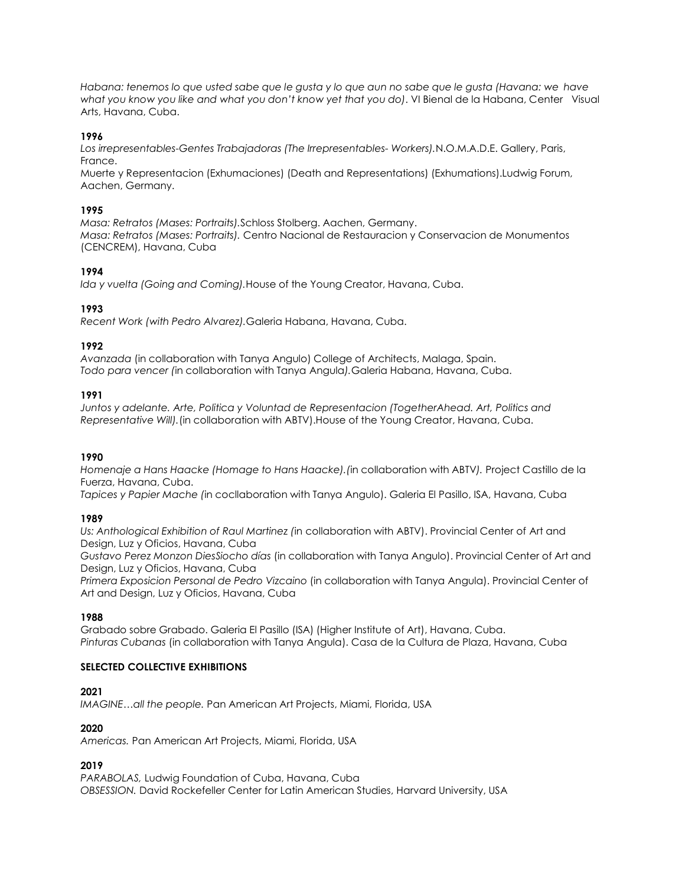*Habana: tenemos lo que usted sabe que le gusta y lo que aun no sabe que le gusta (Havana: we have what you know you like and what you don't know yet that you do)*. VI Bienal de la Habana, Center Visual Arts, Havana, Cuba.

#### **1996**

*Los irrepresentables-Gentes Trabajadoras (The Irrepresentables- Workers).*N.O.M.A.D.E. Gallery, Paris, France.

Muerte y Representacion (Exhumaciones) (Death and Representations) (Exhumations).Ludwig Forum, Aachen, Germany.

#### **1995**

*Masa: Retratos (Mases: Portraits).*Schloss Stolberg. Aachen, Germany. *Masa: Retratos (Mases: Portraits).* Centro Nacional de Restauracion y Conservacion de Monumentos (CENCREM), Havana, Cuba

#### **1994**

*Ida y vuelta (Going and Coming).*House of the Young Creator, Havana, Cuba.

#### **1993**

*Recent Work (with Pedro Alvarez).*Galeria Habana, Havana, Cuba.

#### **1992**

*Avanzada* (in collaboration with Tanya Angulo) College of Architects, Malaga, Spain. *Todo para vencer (*in collaboration with Tanya Angula*).*Galeria Habana, Havana, Cuba.

#### **1991**

*Juntos y adelante. Arte, Politica y Voluntad de Representacion (TogetherAhead. Art, Politics and Representative Will).*(in collaboration with ABTV).House of the Young Creator, Havana, Cuba.

#### **1990**

*Homenaje a Hans Haacke (Homage to Hans Haacke).(*in collaboration with ABTV*).* Project Castillo de la Fuerza, Havana, Cuba.

*Tapices y Papier Mache (*in cocllaboration with Tanya Angulo). Galeria El Pasillo, ISA, Havana, Cuba

# **1989**

*Us: Anthological Exhibition of Raul Martinez (*in collaboration with ABTV). Provincial Center of Art and Design, Luz y Oficios, Havana, Cuba

*Gustavo Perez Monzon DiesSiocho días* (in collaboration with Tanya Angulo). Provincial Center of Art and Design, Luz y Oficios, Havana, Cuba

*Primera Exposicion Personal de Pedro Vizcaino* (in collaboration with Tanya Angula). Provincial Center of Art and Design, Luz y Oficios, Havana, Cuba

# **1988**

Grabado sobre Grabado. Galeria El Pasillo (ISA) (Higher Institute of Art), Havana, Cuba. *Pinturas Cubanas* (in collaboration with Tanya Angula). Casa de la Cultura de Plaza, Havana, Cuba

#### **SELECTED COLLECTIVE EXHIBITIONS**

# **2021**

*IMAGINE…all the people.* Pan American Art Projects, Miami, Florida, USA

# **2020**

*Americas.* Pan American Art Projects, Miami, Florida, USA

# **2019**

*PARABOLAS,* Ludwig Foundation of Cuba, Havana, Cuba *OBSESSION.* David Rockefeller Center for Latin American Studies, Harvard University, USA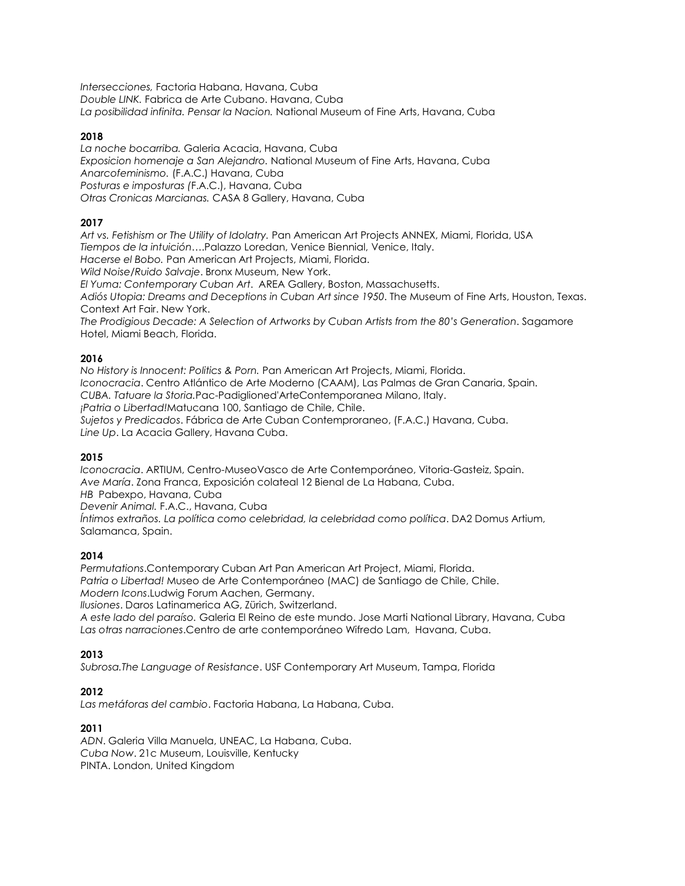*Intersecciones,* Factoria Habana, Havana, Cuba *Double LINK.* Fabrica de Arte Cubano. Havana, Cuba *La posibilidad infinita. Pensar la Nacion.* National Museum of Fine Arts, Havana, Cuba

#### **2018**

*La noche bocarriba.* Galeria Acacia, Havana, Cuba *Exposicion homenaje a San Alejandro.* National Museum of Fine Arts, Havana, Cuba *Anarcofeminismo.* (F.A.C.) Havana, Cuba *Posturas e imposturas (*F.A.C.), Havana, Cuba *Otras Cronicas Marcianas.* CASA 8 Gallery, Havana, Cuba

# **2017**

*Art vs. Fetishism or The Utility of Idolatry.* Pan American Art Projects ANNEX, Miami, Florida, USA *Tiempos de la intuición*….Palazzo Loredan, Venice Biennial, Venice, Italy. *Hacerse el Bobo.* Pan American Art Projects, Miami, Florida. *Wild Noise/Ruido Salvaje*. Bronx Museum, New York. *El Yuma: Contemporary Cuban Art*. AREA Gallery, Boston, Massachusetts.

*Adiós Utopia: Dreams and Deceptions in Cuban Art since 1950*. The Museum of Fine Arts, Houston, Texas. Context Art Fair. New York.

*The Prodigious Decade: A Selection of Artworks by Cuban Artists from the 80's Generation*. Sagamore Hotel, Miami Beach, Florida.

# **2016**

*No History is Innocent: Politics & Porn.* Pan American Art Projects, Miami, Florida. *Iconocracia*. Centro Atlántico de Arte Moderno (CAAM), Las Palmas de Gran Canaria, Spain. *CUBA. Tatuare la Storia.*Pac-Padiglioned'ArteContemporanea Milano, Italy. *¡Patria o Libertad!*Matucana 100, Santiago de Chile, Chile. *Sujetos y Predicados*. Fábrica de Arte Cuban Contemproraneo, (F.A.C.) Havana, Cuba. *Line Up*. La Acacia Gallery, Havana Cuba.

# **2015**

*Iconocracia*. ARTIUM, Centro-MuseoVasco de Arte Contemporáneo, Vitoria-Gasteiz, Spain. *Ave María*. Zona Franca, Exposición colateal 12 Bienal de La Habana, Cuba. *HB* Pabexpo, Havana, Cuba

*Devenir Animal.* F.A.C., Havana, Cuba

*Íntimos extraños. La política como celebridad, la celebridad como política*. DA2 Domus Artium, Salamanca, Spain.

# **2014**

*Permutations*.Contemporary Cuban Art Pan American Art Project, Miami, Florida. *Patria o Libertad!* Museo de Arte Contemporáneo (MAC) de Santiago de Chile, Chile. *Modern Icons*.Ludwig Forum Aachen, Germany.

*Ilusiones*. Daros Latinamerica AG, Zürich, Switzerland. *A este lado del paraíso.* Galeria El Reino de este mundo. Jose Marti National Library, Havana, Cuba

*Las otras narraciones*.Centro de arte contemporáneo Wifredo Lam, Havana, Cuba.

# **2013**

*Subrosa.The Language of Resistance*. USF Contemporary Art Museum, Tampa, Florida

# **2012**

*Las metáforas del cambio*. Factoria Habana, La Habana, Cuba.

# **2011**

*ADN*. Galeria Villa Manuela, UNEAC, La Habana, Cuba. *Cuba Now*. 21c Museum, Louisville, Kentucky PINTA. London, United Kingdom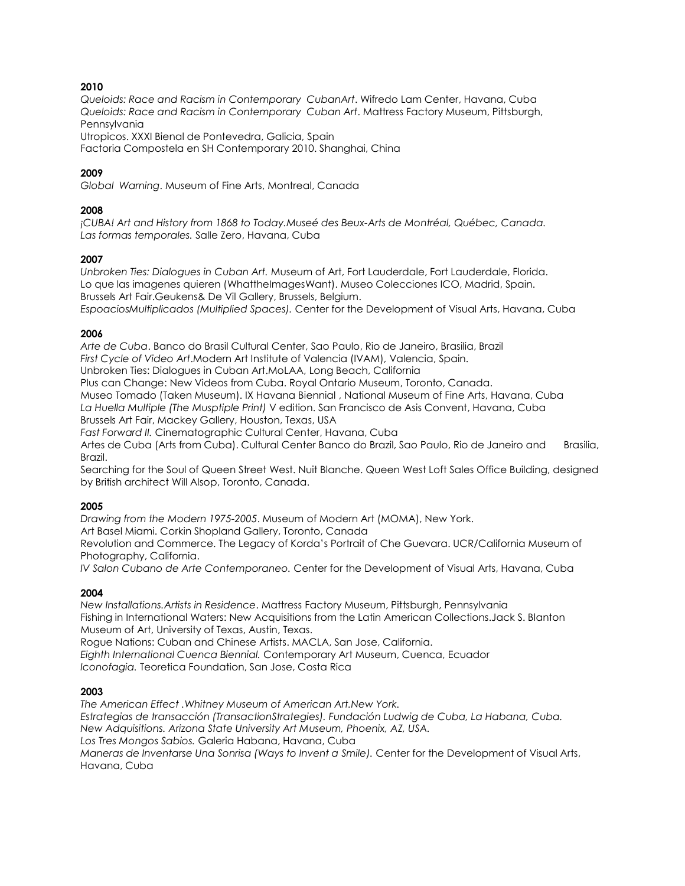#### **2010**

*Queloids: Race and Racism in Contemporary CubanArt*. Wifredo Lam Center, Havana, Cuba *Queloids: Race and Racism in Contemporary Cuban Art*. Mattress Factory Museum, Pittsburgh, Pennsylvania

Utropicos. XXXI Bienal de Pontevedra, Galicia, Spain

Factoria Compostela en SH Contemporary 2010. Shanghai, China

#### **2009**

*Global Warning*. Museum of Fine Arts, Montreal, Canada

#### **2008**

*¡CUBA! Art and History from 1868 to Today.Museé des Beux-Arts de Montréal, Québec, Canada. Las formas temporales.* Salle Zero, Havana, Cuba

#### **2007**

*Unbroken Ties: Dialogues in Cuban Art.* Museum of Art, Fort Lauderdale, Fort Lauderdale, Florida. Lo que las imagenes quieren (WhattheImagesWant). Museo Colecciones ICO, Madrid, Spain. Brussels Art Fair.Geukens& De Vil Gallery, Brussels, Belgium. *EspoaciosMultiplicados (Multiplied Spaces).* Center for the Development of Visual Arts, Havana, Cuba

#### **2006**

*Arte de Cuba*. Banco do Brasil Cultural Center, Sao Paulo, Rio de Janeiro, Brasilia, Brazil *First Cycle of Video Art*.Modern Art Institute of Valencia (IVAM), Valencia, Spain. Unbroken Ties: Dialogues in Cuban Art.MoLAA, Long Beach, California Plus can Change: New Videos from Cuba. Royal Ontario Museum, Toronto, Canada.

Museo Tomado (Taken Museum). IX Havana Biennial , National Museum of Fine Arts, Havana, Cuba *La Huella Multiple (The Musptiple Print)* V edition. San Francisco de Asis Convent, Havana, Cuba Brussels Art Fair, Mackey Gallery, Houston, Texas, USA

*Fast Forward II.* Cinematographic Cultural Center, Havana, Cuba

Artes de Cuba (Arts from Cuba). Cultural Center Banco do Brazil, Sao Paulo, Rio de Janeiro and Brasilia, Brazil.

Searching for the Soul of Queen Street West. Nuit Blanche. Queen West Loft Sales Office Building, designed by British architect Will Alsop, Toronto, Canada.

#### **2005**

*Drawing from the Modern 1975-2005*. Museum of Modern Art (MOMA), New York.

Art Basel Miami. Corkin Shopland Gallery, Toronto, Canada

Revolution and Commerce. The Legacy of Korda's Portrait of Che Guevara. UCR/California Museum of Photography, California.

*IV Salon Cubano de Arte Contemporaneo.* Center for the Development of Visual Arts, Havana, Cuba

# **2004**

*New Installations.Artists in Residence*. Mattress Factory Museum, Pittsburgh, Pennsylvania Fishing in International Waters: New Acquisitions from the Latin American Collections.Jack S. Blanton Museum of Art, University of Texas, Austin, Texas.

Rogue Nations: Cuban and Chinese Artists. MACLA, San Jose, California. *Eighth International Cuenca Biennial.* Contemporary Art Museum, Cuenca, Ecuador

*Iconofagia.* Teoretica Foundation, San Jose, Costa Rica

#### **2003**

*The American Effect .Whitney Museum of American Art.New York. Estrategias de transacción (TransactionStrategies). Fundación Ludwig de Cuba, La Habana, Cuba. New Adquisitions. Arizona State University Art Museum, Phoenix, AZ, USA. Los Tres Mongos Sabios.* Galeria Habana, Havana, Cuba *Maneras de Inventarse Una Sonrisa (Ways to Invent a Smile).* Center for the Development of Visual Arts, Havana, Cuba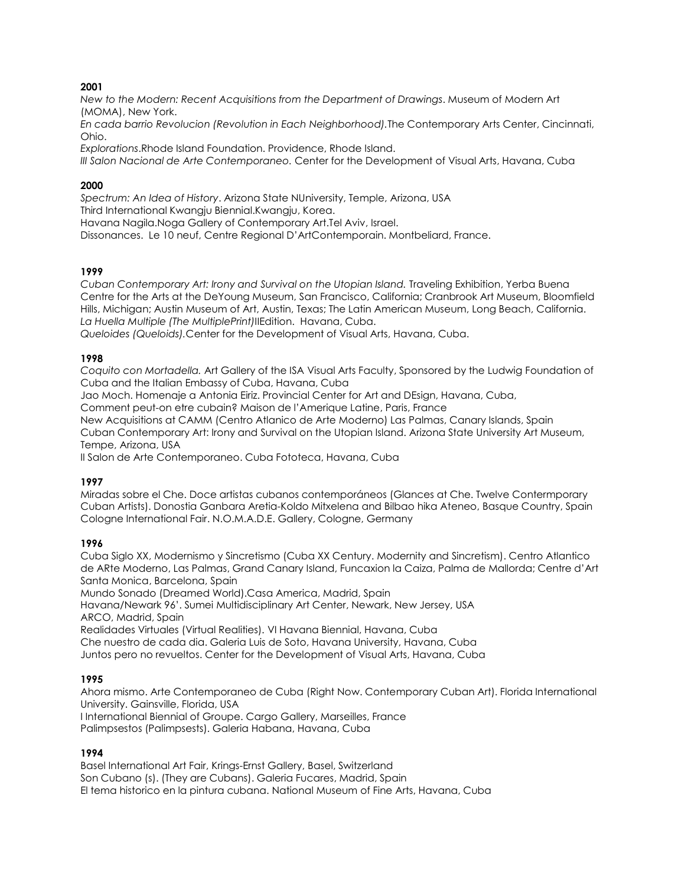#### **2001**

*New to the Modern: Recent Acquisitions from the Department of Drawings*. Museum of Modern Art (MOMA), New York.

*En cada barrio Revolucion (Revolution in Each Neighborhood).*The Contemporary Arts Center, Cincinnati, Ohio.

*Explorations*.Rhode Island Foundation. Providence, Rhode Island.

*III Salon Nacional de Arte Contemporaneo.* Center for the Development of Visual Arts, Havana, Cuba

#### **2000**

*Spectrum: An Idea of History*. Arizona State NUniversity, Temple, Arizona, USA Third International Kwangju Biennial.Kwangju, Korea. Havana Nagila.Noga Gallery of Contemporary Art.Tel Aviv, Israel.

Dissonances. Le 10 neuf, Centre Regional D'ArtContemporain. Montbeliard, France.

#### **1999**

Cuban Contemporary Art: Irony and Survival on the Utopian Island. Traveling Exhibition, Yerba Buena Centre for the Arts at the DeYoung Museum, San Francisco, California; Cranbrook Art Museum, Bloomfield Hills, Michigan; Austin Museum of Art, Austin, Texas; The Latin American Museum, Long Beach, California. *La Huella Multiple (The MultiplePrint)*IIEdition. Havana, Cuba.

*Queloides (Queloids).*Center for the Development of Visual Arts, Havana, Cuba.

#### **1998**

*Coquito con Mortadella.* Art Gallery of the ISA Visual Arts Faculty, Sponsored by the Ludwig Foundation of Cuba and the Italian Embassy of Cuba, Havana, Cuba

Jao Moch. Homenaje a Antonia Eiriz. Provincial Center for Art and DEsign, Havana, Cuba,

Comment peut-on etre cubain? Maison de l'Amerique Latine, Paris, France

New Acquisitions at CAMM (Centro Atlanico de Arte Moderno) Las Palmas, Canary Islands, Spain Cuban Contemporary Art: Irony and Survival on the Utopian Island. Arizona State University Art Museum, Tempe, Arizona, USA

II Salon de Arte Contemporaneo. Cuba Fototeca, Havana, Cuba

# **1997**

Miradas sobre el Che. Doce artistas cubanos contemporáneos (Glances at Che. Twelve Contermporary Cuban Artists). Donostia Ganbara Aretia-Koldo Mitxelena and Bilbao hika Ateneo, Basque Country, Spain Cologne International Fair. N.O.M.A.D.E. Gallery, Cologne, Germany

#### **1996**

Cuba Siglo XX, Modernismo y Sincretismo (Cuba XX Century. Modernity and Sincretism). Centro Atlantico de ARte Moderno, Las Palmas, Grand Canary Island, Funcaxion la Caiza, Palma de Mallorda; Centre d'Art Santa Monica, Barcelona, Spain

Mundo Sonado (Dreamed World).Casa America, Madrid, Spain

Havana/Newark 96'. Sumei Multidisciplinary Art Center, Newark, New Jersey, USA ARCO, Madrid, Spain

Realidades Virtuales (Virtual Realities). VI Havana Biennial, Havana, Cuba

Che nuestro de cada dia. Galeria Luis de Soto, Havana University, Havana, Cuba

Juntos pero no revueltos. Center for the Development of Visual Arts, Havana, Cuba

#### **1995**

Ahora mismo. Arte Contemporaneo de Cuba (Right Now. Contemporary Cuban Art). Florida International University. Gainsville, Florida, USA

I International Biennial of Groupe. Cargo Gallery, Marseilles, France

Palimpsestos (Palimpsests). Galeria Habana, Havana, Cuba

#### **1994**

Basel International Art Fair, Krings-Ernst Gallery, Basel, Switzerland Son Cubano (s). (They are Cubans). Galeria Fucares, Madrid, Spain El tema historico en la pintura cubana. National Museum of Fine Arts, Havana, Cuba